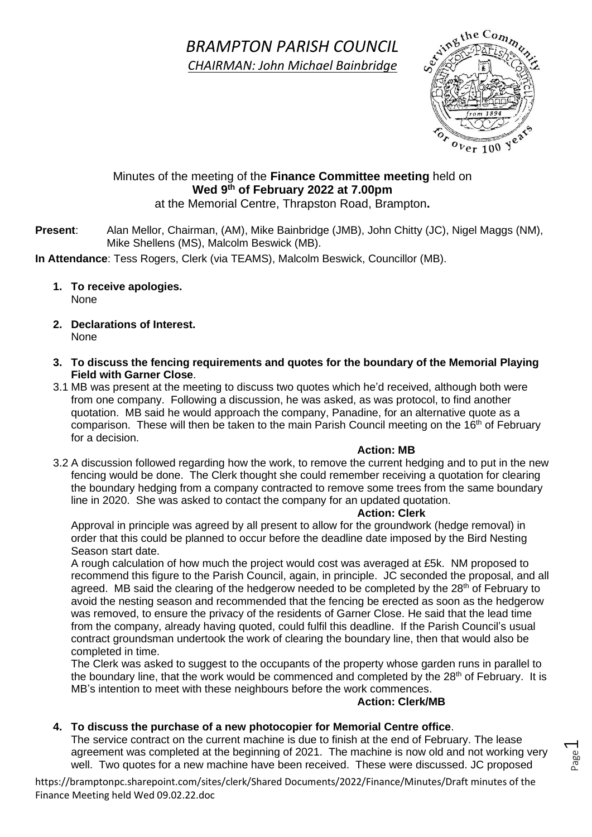## *BRAMPTON PARISH COUNCIL CHAIRMAN: John Michael Bainbridge*

 $o_{Ver 100}$  yes

### Minutes of the meeting of the **Finance Committee meeting** held on **Wed 9 th of February 2022 at 7.00pm**

at the Memorial Centre, Thrapston Road, Brampton**.**

**Present**: Alan Mellor, Chairman, (AM), Mike Bainbridge (JMB), John Chitty (JC), Nigel Maggs (NM), Mike Shellens (MS), Malcolm Beswick (MB).

**In Attendance**: Tess Rogers, Clerk (via TEAMS), Malcolm Beswick, Councillor (MB).

- **1. To receive apologies.** None
- **2. Declarations of Interest.** None
- **3. To discuss the fencing requirements and quotes for the boundary of the Memorial Playing Field with Garner Close**.
- 3.1 MB was present at the meeting to discuss two quotes which he'd received, although both were from one company. Following a discussion, he was asked, as was protocol, to find another quotation. MB said he would approach the company, Panadine, for an alternative quote as a comparison. These will then be taken to the main Parish Council meeting on the 16<sup>th</sup> of February for a decision.

#### **Action: MB**

3.2 A discussion followed regarding how the work, to remove the current hedging and to put in the new fencing would be done. The Clerk thought she could remember receiving a quotation for clearing the boundary hedging from a company contracted to remove some trees from the same boundary line in 2020. She was asked to contact the company for an updated quotation.

#### **Action: Clerk**

Approval in principle was agreed by all present to allow for the groundwork (hedge removal) in order that this could be planned to occur before the deadline date imposed by the Bird Nesting Season start date.

A rough calculation of how much the project would cost was averaged at £5k. NM proposed to recommend this figure to the Parish Council, again, in principle. JC seconded the proposal, and all agreed. MB said the clearing of the hedgerow needed to be completed by the 28<sup>th</sup> of February to avoid the nesting season and recommended that the fencing be erected as soon as the hedgerow was removed, to ensure the privacy of the residents of Garner Close. He said that the lead time from the company, already having quoted, could fulfil this deadline. If the Parish Council's usual contract groundsman undertook the work of clearing the boundary line, then that would also be completed in time.

The Clerk was asked to suggest to the occupants of the property whose garden runs in parallel to the boundary line, that the work would be commenced and completed by the  $28<sup>th</sup>$  of February. It is MB's intention to meet with these neighbours before the work commences.

#### **Action: Clerk/MB**

Page  $\overline{\phantom{0}}$ 

#### **4. To discuss the purchase of a new photocopier for Memorial Centre office**.

The service contract on the current machine is due to finish at the end of February. The lease agreement was completed at the beginning of 2021. The machine is now old and not working very well. Two quotes for a new machine have been received. These were discussed. JC proposed

https://bramptonpc.sharepoint.com/sites/clerk/Shared Documents/2022/Finance/Minutes/Draft minutes of the Finance Meeting held Wed 09.02.22.doc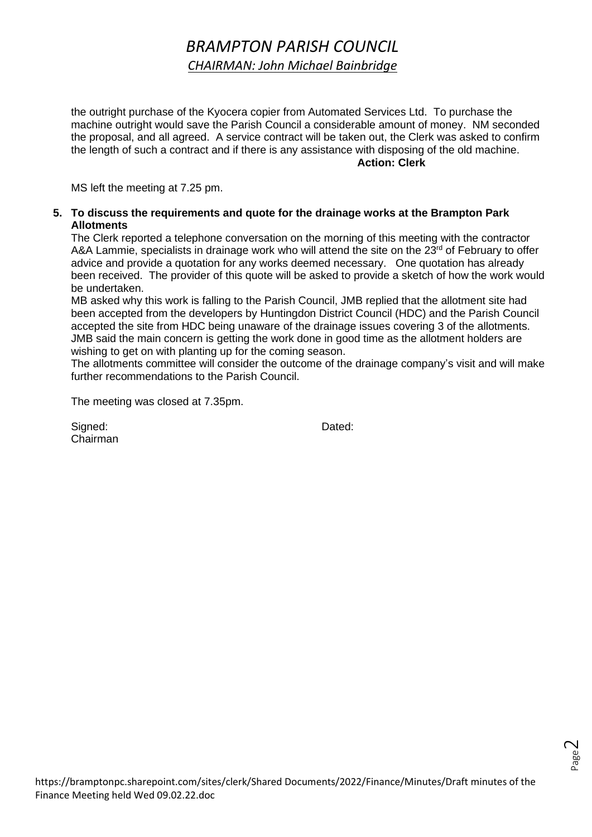# *BRAMPTON PARISH COUNCIL CHAIRMAN: John Michael Bainbridge*

the outright purchase of the Kyocera copier from Automated Services Ltd. To purchase the machine outright would save the Parish Council a considerable amount of money. NM seconded the proposal, and all agreed. A service contract will be taken out, the Clerk was asked to confirm the length of such a contract and if there is any assistance with disposing of the old machine. **Action: Clerk**

MS left the meeting at 7.25 pm.

#### **5. To discuss the requirements and quote for the drainage works at the Brampton Park Allotments**

The Clerk reported a telephone conversation on the morning of this meeting with the contractor A&A Lammie, specialists in drainage work who will attend the site on the  $23<sup>rd</sup>$  of February to offer advice and provide a quotation for any works deemed necessary. One quotation has already been received. The provider of this quote will be asked to provide a sketch of how the work would be undertaken.

MB asked why this work is falling to the Parish Council, JMB replied that the allotment site had been accepted from the developers by Huntingdon District Council (HDC) and the Parish Council accepted the site from HDC being unaware of the drainage issues covering 3 of the allotments. JMB said the main concern is getting the work done in good time as the allotment holders are wishing to get on with planting up for the coming season.

The allotments committee will consider the outcome of the drainage company's visit and will make further recommendations to the Parish Council.

The meeting was closed at 7.35pm.

Signed: Dated: Chairman